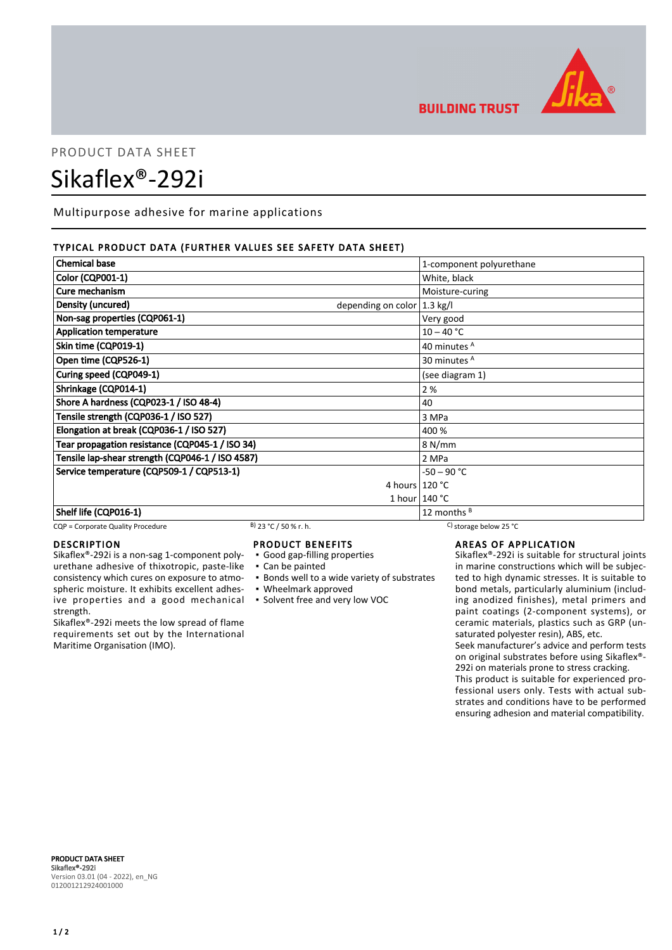

## **BUILDING TRUST**

# PRODUCT DATA SHEET Sikaflex®-292i

Multipurpose adhesive for marine applications

#### TYPICAL PRODUCT DATA (FURTHER VALUES SEE SAFETY DATA SHEET)

| <b>Chemical base</b>                                        | 1-component polyurethane |
|-------------------------------------------------------------|--------------------------|
| <b>Color (CQP001-1)</b>                                     | White, black             |
| Cure mechanism                                              | Moisture-curing          |
| Density (uncured)<br>depending on color $ 1.3 \text{ kg}/I$ |                          |
| Non-sag properties (CQP061-1)                               | Very good                |
| <b>Application temperature</b>                              | $10 - 40 °C$             |
| Skin time (CQP019-1)                                        | 40 minutes A             |
| Open time (CQP526-1)                                        | 30 minutes <sup>A</sup>  |
| Curing speed (CQP049-1)                                     | (see diagram 1)          |
| Shrinkage (CQP014-1)                                        | 2%                       |
| Shore A hardness (CQP023-1 / ISO 48-4)                      | 40                       |
| Tensile strength (CQP036-1 / ISO 527)                       | 3 MPa                    |
| Elongation at break (CQP036-1 / ISO 527)                    | 400 %                    |
| Tear propagation resistance (CQP045-1 / ISO 34)             | 8 N/mm                   |
| Tensile lap-shear strength (CQP046-1 / ISO 4587)            | 2 MPa                    |
| Service temperature (CQP509-1 / CQP513-1)                   | $-50 - 90 °C$            |
|                                                             | 4 hours $120 °C$         |
|                                                             | 1 hour $140 °C$          |
| Shelf life (CQP016-1)                                       | 12 months $B$            |

#### CQP = Corporate Quality Procedure B) 23 °C / 50 % r. h. C) storage below 25 °C

#### DESCRIPTION

Sikaflex®-292i is a non-sag 1-component polyurethane adhesive of thixotropic, paste-like consistency which cures on exposure to atmospheric moisture. It exhibits excellent adhesive properties and a good mechanical strength.

Sikaflex®-292i meets the low spread of flame requirements set out by the International Maritime Organisation (IMO).

#### PRODUCT BENEFITS

- Good gap-filling properties
- Can be painted
- **Bonds well to a wide variety of substrates**
- Wheelmark approved
- Solvent free and very low VOC

AREAS OF APPLICATION

Sikaflex®-292i is suitable for structural joints in marine constructions which will be subjected to high dynamic stresses. It is suitable to bond metals, particularly aluminium (including anodized finishes), metal primers and paint coatings (2-component systems), or ceramic materials, plastics such as GRP (unsaturated polyester resin), ABS, etc.

Seek manufacturer's advice and perform tests on original substrates before using Sikaflex®- 292i on materials prone to stress cracking.

This product is suitable for experienced professional users only. Tests with actual substrates and conditions have to be performed ensuring adhesion and material compatibility.